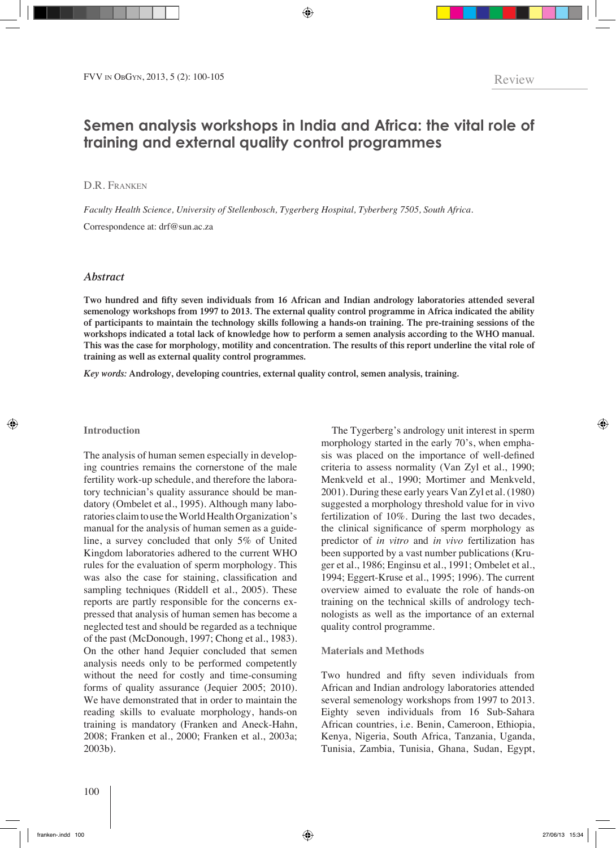# **Semen analysis workshops in India and Africa: the vital role of training and external quality control programmes**

## D.R. FRANKEN

*Faculty Health Science, University of Stellenbosch, Tygerberg Hospital, Tyberberg 7505, South Africa.* Correspondence at: drf@sun.ac.za

## *Abstract*

**Two hundred and fifty seven individuals from 16 African and Indian andrology laboratories attended several semenology workshops from 1997 to 2013. The external quality control programme in Africa indicated the ability of participants to maintain the technology skills following a hands-on training. The pre-training sessions of the workshops indicated a total lack of knowledge how to perform a semen analysis according to the WHO manual. This was the case for morphology, motility and concentration. The results of this report underline the vital role of training as well as external quality control programmes.** 

*Key words:* **Andrology, developing countries, external quality control, semen analysis, training.**

#### **Introduction**

The analysis of human semen especially in developing countries remains the cornerstone of the male fertility work-up schedule, and therefore the laboratory technician's quality assurance should be mandatory (Ombelet et al., 1995). Although many laboratories claim to use the World Health Organization's manual for the analysis of human semen as a guideline, a survey concluded that only 5% of United Kingdom laboratories adhered to the current WHO rules for the evaluation of sperm morphology. This was also the case for staining, classification and sampling techniques (Riddell et al., 2005). These reports are partly responsible for the concerns expressed that analysis of human semen has become a neglected test and should be regarded as a technique of the past (McDonough, 1997; Chong et al., 1983). On the other hand Jequier concluded that semen analysis needs only to be performed competently without the need for costly and time-consuming forms of quality assurance (Jequier 2005; 2010). We have demonstrated that in order to maintain the reading skills to evaluate morphology, hands-on training is mandatory (Franken and Aneck-Hahn, 2008; Franken et al., 2000; Franken et al., 2003a; 2003b).

The Tygerberg's andrology unit interest in sperm morphology started in the early 70's, when emphasis was placed on the importance of well-defined criteria to assess normality (Van Zyl et al., 1990; Menkveld et al., 1990; Mortimer and Menkveld, 2001). During these early years Van Zyl et al. (1980) suggested a morphology threshold value for in vivo fertilization of 10%. During the last two decades, the clinical significance of sperm morphology as predictor of *in vitro* and *in vivo* fertilization has been supported by a vast number publications (Kruger et al., 1986; Enginsu et al., 1991; Ombelet et al., 1994; Eggert-Kruse et al., 1995; 1996). The current overview aimed to evaluate the role of hands-on training on the technical skills of andrology technologists as well as the importance of an external quality control programme.

#### **Materials and Methods**

Two hundred and fifty seven individuals from African and Indian andrology laboratories attended several semenology workshops from 1997 to 2013. Eighty seven individuals from 16 Sub-Sahara African countries, i.e. Benin, Cameroon, Ethiopia, Kenya, Nigeria, South Africa, Tanzania, Uganda, Tunisia, Zambia, Tunisia, Ghana, Sudan, Egypt,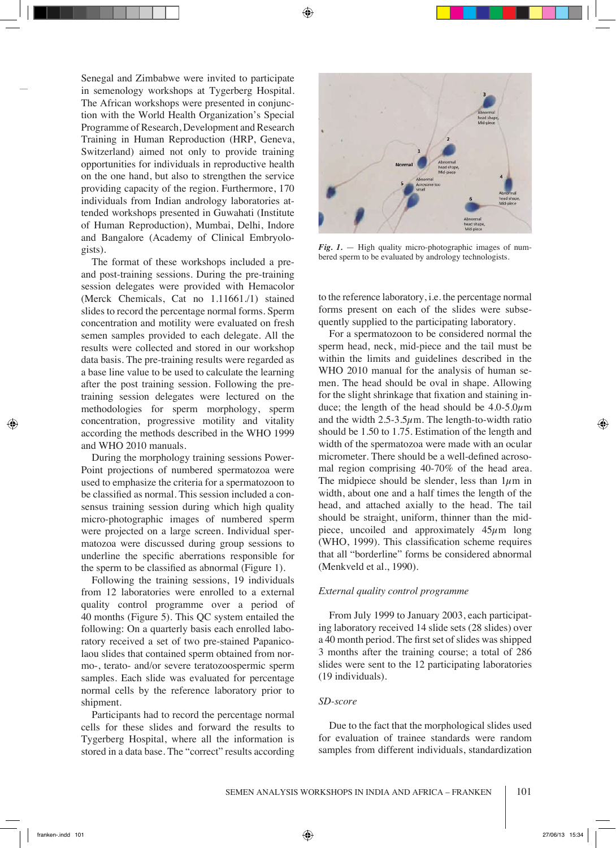Senegal and Zimbabwe were invited to participate in semenology workshops at Tygerberg Hospital. The African workshops were presented in conjunction with the World Health Organization's Special Programme of Research, Development and Research Training in Human Reproduction (HRP, Geneva, Switzerland) aimed not only to provide training opportunities for individuals in reproductive health on the one hand, but also to strengthen the service providing capacity of the region. Furthermore, 170 individuals from Indian andrology laboratories attended workshops presented in Guwahati (Institute of Human Reproduction), Mumbai, Delhi, Indore and Bangalore (Academy of Clinical Embryologists).

The format of these workshops included a preand post-training sessions. During the pre-training session delegates were provided with Hemacolor (Merck Chemicals, Cat no 1.11661./1) stained slides to record the percentage normal forms. Sperm concentration and motility were evaluated on fresh semen samples provided to each delegate. All the results were collected and stored in our workshop data basis. The pre-training results were regarded as a base line value to be used to calculate the learning after the post training session. Following the pretraining session delegates were lectured on the methodologies for sperm morphology, sperm concentration, progressive motility and vitality according the methods described in the WHO 1999 and WHO 2010 manuals.

During the morphology training sessions Power-Point projections of numbered spermatozoa were used to emphasize the criteria for a spermatozoon to be classified as normal. This session included a consensus training session during which high quality micro-photographic images of numbered sperm were projected on a large screen. Individual spermatozoa were discussed during group sessions to underline the specific aberrations responsible for the sperm to be classified as abnormal (Figure 1).

Following the training sessions, 19 individuals from 12 laboratories were enrolled to a external quality control programme over a period of 40 months (Figure 5). This QC system entailed the following: On a quarterly basis each enrolled laboratory received a set of two pre-stained Papanicolaou slides that contained sperm obtained from normo-, terato- and/or severe teratozoospermic sperm samples. Each slide was evaluated for percentage normal cells by the reference laboratory prior to shipment.

Participants had to record the percentage normal cells for these slides and forward the results to Tygerberg Hospital, where all the information is stored in a data base. The "correct" results according



*Fig. 1.* — High quality micro-photographic images of numbered sperm to be evaluated by andrology technologists.

to the reference laboratory, i.e. the percentage normal forms present on each of the slides were subsequently supplied to the participating laboratory.

For a spermatozoon to be considered normal the sperm head, neck, mid-piece and the tail must be within the limits and guidelines described in the WHO 2010 manual for the analysis of human semen. The head should be oval in shape. Allowing for the slight shrinkage that fixation and staining induce; the length of the head should be  $4.0\n-5.0\mu$ m and the width  $2.5 - 3.5\mu$ m. The length-to-width ratio should be 1.50 to 1.75. Estimation of the length and width of the spermatozoa were made with an ocular micrometer. There should be a well-defined acrosomal region comprising 40-70% of the head area. The midpiece should be slender, less than  $1\mu$ m in width, about one and a half times the length of the head, and attached axially to the head. The tail should be straight, uniform, thinner than the midpiece, uncoiled and approximately  $45\mu$ m long (WHO, 1999). This classification scheme requires that all "borderline" forms be considered abnormal (Menkveld et al., 1990).

### *External quality control programme*

From July 1999 to January 2003, each participating laboratory received 14 slide sets (28 slides) over a 40 month period. The first set of slides was shipped 3 months after the training course; a total of 286 slides were sent to the 12 participating laboratories (19 individuals).

#### *SD-score*

Due to the fact that the morphological slides used for evaluation of trainee standards were random samples from different individuals, standardization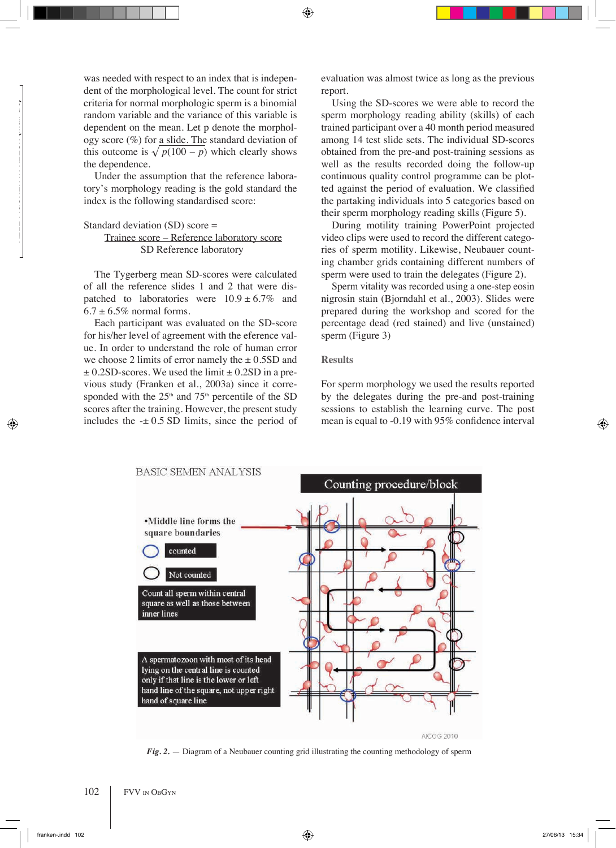was needed with respect to an index that is independent of the morphological level. The count for strict criteria for normal morphologic sperm is a binomial random variable and the variance of this variable is dependent on the mean. Let p denote the morphology score (%) for a slide. The standard deviation of this outcome is  $\sqrt{p(100 - p)}$  which clearly shows the dependence.

Under the assumption that the reference laboratory's morphology reading is the gold standard the index is the following standardised score:

```
Standard deviation (SD) score =
```
 Trainee score – Reference laboratory score SD Reference laboratory

The Tygerberg mean SD-scores were calculated of all the reference slides 1 and 2 that were dispatched to laboratories were  $10.9 \pm 6.7\%$  and  $6.7 \pm 6.5\%$  normal forms.

Each participant was evaluated on the SD-score for his/her level of agreement with the eference value. In order to understand the role of human error we choose 2 limits of error namely the  $\pm$  0.5SD and  $\pm$  0.2SD-scores. We used the limit  $\pm$  0.2SD in a previous study (Franken et al., 2003a) since it corresponded with the  $25<sup>th</sup>$  and  $75<sup>th</sup>$  percentile of the SD scores after the training. However, the present study includes the  $-± 0.5$  SD limits, since the period of evaluation was almost twice as long as the previous report.

Using the SD-scores we were able to record the sperm morphology reading ability (skills) of each trained participant over a 40 month period measured among 14 test slide sets. The individual SD-scores obtained from the pre-and post-training sessions as well as the results recorded doing the follow-up continuous quality control programme can be plotted against the period of evaluation. We classified the partaking individuals into 5 categories based on their sperm morphology reading skills (Figure 5).

During motility training PowerPoint projected video clips were used to record the different categories of sperm motility. Likewise, Neubauer counting chamber grids containing different numbers of sperm were used to train the delegates (Figure 2).

Sperm vitality was recorded using a one-step eosin nigrosin stain (Bjorndahl et al., 2003). Slides were prepared during the workshop and scored for the percentage dead (red stained) and live (unstained) sperm (Figure 3)

## **Results**

For sperm morphology we used the results reported by the delegates during the pre-and post-training sessions to establish the learning curve. The post mean is equal to -0.19 with 95% confidence interval



*Fig. 2.* — Diagram of a Neubauer counting grid illustrating the counting methodology of sperm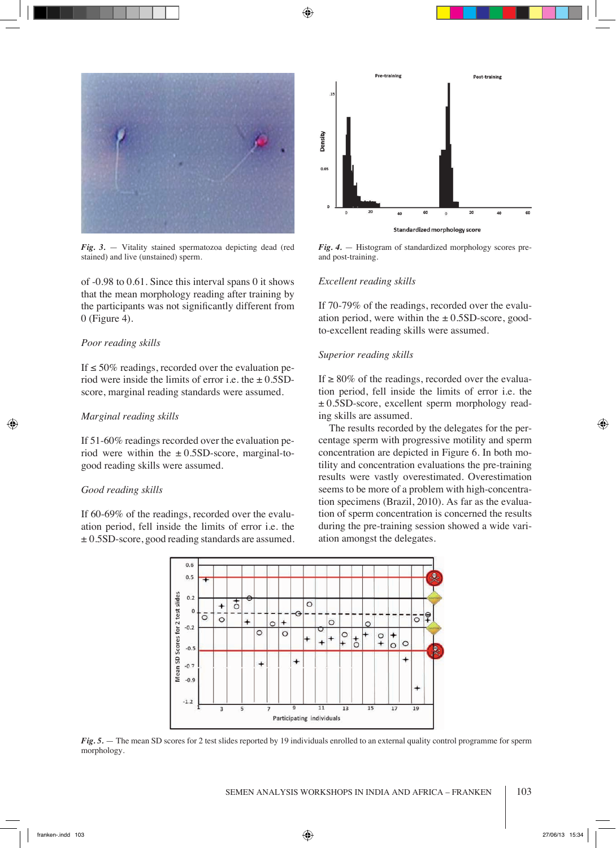

*Fig. 3.* — Vitality stained spermatozoa depicting dead (red stained) and live (unstained) sperm.

of -0.98 to 0.61. Since this interval spans 0 it shows that the mean morphology reading after training by the participants was not significantly different from 0 (Figure 4).

### *Poor reading skills*

If  $\leq$  50% readings, recorded over the evaluation period were inside the limits of error i.e. the  $\pm$  0.5SDscore, marginal reading standards were assumed.

## *Marginal reading skills*

If 51-60% readings recorded over the evaluation period were within the  $\pm$  0.5SD-score, marginal-togood reading skills were assumed.

#### *Good reading skills*

If 60-69% of the readings, recorded over the evaluation period, fell inside the limits of error i.e. the ± 0.5SD-score, good reading standards are assumed.



*Fig. 4.* — Histogram of standardized morphology scores preand post-training.

## *Excellent reading skills*

If 70-79% of the readings, recorded over the evaluation period, were within the  $\pm$  0.5SD-score, goodto-excellent reading skills were assumed.

#### *Superior reading skills*

If  $\geq 80\%$  of the readings, recorded over the evaluation period, fell inside the limits of error i.e. the  $\pm$  0.5SD-score, excellent sperm morphology reading skills are assumed.

The results recorded by the delegates for the percentage sperm with progressive motility and sperm concentration are depicted in Figure 6. In both motility and concentration evaluations the pre-training results were vastly overestimated. Overestimation seems to be more of a problem with high-concentration specimens (Brazil, 2010). As far as the evaluation of sperm concentration is concerned the results during the pre-training session showed a wide variation amongst the delegates.



*Fig. 5.* — The mean SD scores for 2 test slides reported by 19 individuals enrolled to an external quality control programme for sperm morphology.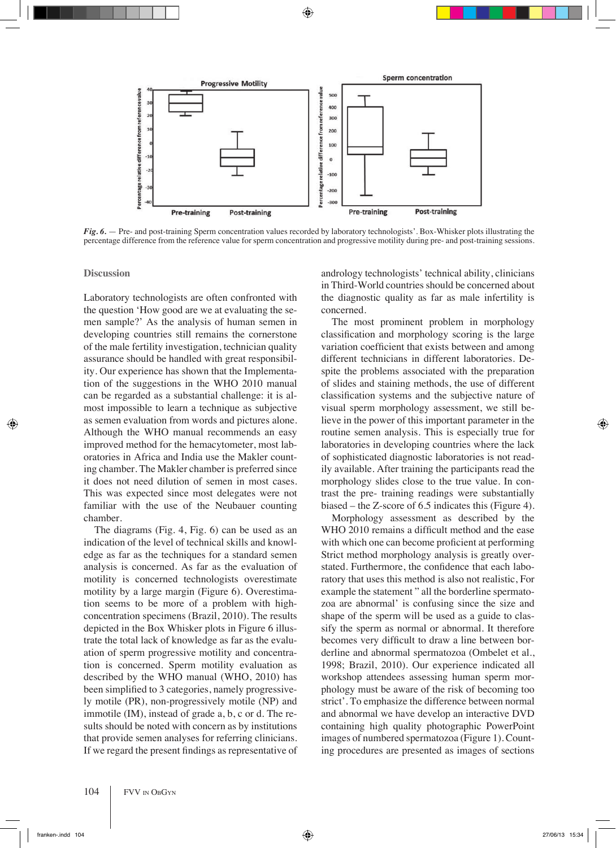

*Fig. 6.* — Pre- and post-training Sperm concentration values recorded by laboratory technologists'. Box-Whisker plots illustrating the percentage difference from the reference value for sperm concentration and progressive motility during pre- and post-training sessions.

**Discussion**

Laboratory technologists are often confronted with the question 'How good are we at evaluating the semen sample?' As the analysis of human semen in developing countries still remains the cornerstone of the male fertility investigation, technician quality assurance should be handled with great responsibility. Our experience has shown that the Implementation of the suggestions in the WHO 2010 manual can be regarded as a substantial challenge: it is almost impossible to learn a technique as subjective as semen evaluation from words and pictures alone. Although the WHO manual recommends an easy improved method for the hemacytometer, most laboratories in Africa and India use the Makler counting chamber. The Makler chamber is preferred since it does not need dilution of semen in most cases. This was expected since most delegates were not familiar with the use of the Neubauer counting chamber.

The diagrams (Fig. 4, Fig. 6) can be used as an indication of the level of technical skills and knowledge as far as the techniques for a standard semen analysis is concerned. As far as the evaluation of motility is concerned technologists overestimate motility by a large margin (Figure 6). Overestimation seems to be more of a problem with highconcentration specimens (Brazil, 2010). The results depicted in the Box Whisker plots in Figure 6 illustrate the total lack of knowledge as far as the evaluation of sperm progressive motility and concentration is concerned. Sperm motility evaluation as described by the WHO manual (WHO, 2010) has been simplified to 3 categories, namely progressively motile (PR), non-progressively motile (NP) and immotile (IM), instead of grade a, b, c or d. The results should be noted with concern as by institutions that provide semen analyses for referring clinicians. If we regard the present findings as representative of andrology technologists' technical ability, clinicians in Third-World countries should be concerned about the diagnostic quality as far as male infertility is concerned.

The most prominent problem in morphology classification and morphology scoring is the large variation coefficient that exists between and among different technicians in different laboratories. Despite the problems associated with the preparation of slides and staining methods, the use of different classification systems and the subjective nature of visual sperm morphology assessment, we still believe in the power of this important parameter in the routine semen analysis. This is especially true for laboratories in developing countries where the lack of sophisticated diagnostic laboratories is not readily available. After training the participants read the morphology slides close to the true value. In contrast the pre- training readings were substantially biased – the Z-score of 6.5 indicates this (Figure 4).

Morphology assessment as described by the WHO 2010 remains a difficult method and the ease with which one can become proficient at performing Strict method morphology analysis is greatly overstated. Furthermore, the confidence that each laboratory that uses this method is also not realistic, For example the statement " all the borderline spermatozoa are abnormal' is confusing since the size and shape of the sperm will be used as a guide to classify the sperm as normal or abnormal. It therefore becomes very difficult to draw a line between borderline and abnormal spermatozoa (Ombelet et al., 1998; Brazil, 2010). Our experience indicated all workshop attendees assessing human sperm morphology must be aware of the risk of becoming too strict'. To emphasize the difference between normal and abnormal we have develop an interactive DVD containing high quality photographic PowerPoint images of numbered spermatozoa (Figure 1). Counting procedures are presented as images of sections